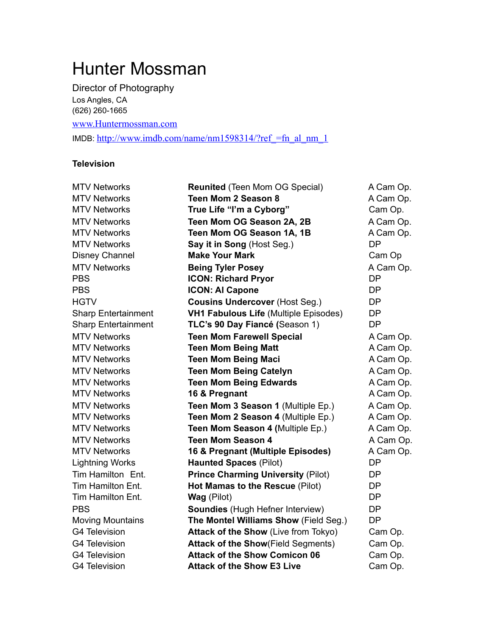# Hunter Mossman

Director of Photography Los Angles, CA

(626) 260-1665

[www.Huntermossman.com](http://www.huntermossman.com)

IMDB: [http://www.imdb.com/name/nm1598314/?ref\\_=fn\\_al\\_nm\\_1](http://www.imdb.com/name/nm1598314/?ref_=fn_al_nm_1)

#### **Television**

| <b>MTV Networks</b>        | <b>Reunited (Teen Mom OG Special)</b>        | A Cam Op. |
|----------------------------|----------------------------------------------|-----------|
| <b>MTV Networks</b>        | <b>Teen Mom 2 Season 8</b>                   | A Cam Op. |
| <b>MTV Networks</b>        | True Life "I'm a Cyborg"                     | Cam Op.   |
| <b>MTV Networks</b>        | Teen Mom OG Season 2A, 2B                    | A Cam Op. |
| <b>MTV Networks</b>        | Teen Mom OG Season 1A, 1B                    | A Cam Op. |
| <b>MTV Networks</b>        | Say it in Song (Host Seg.)                   | <b>DP</b> |
| <b>Disney Channel</b>      | <b>Make Your Mark</b>                        | Cam Op    |
| <b>MTV Networks</b>        | <b>Being Tyler Posey</b>                     | A Cam Op. |
| <b>PBS</b>                 | <b>ICON: Richard Pryor</b>                   | <b>DP</b> |
| <b>PBS</b>                 | <b>ICON: AI Capone</b>                       | <b>DP</b> |
| <b>HGTV</b>                | <b>Cousins Undercover (Host Seg.)</b>        | <b>DP</b> |
| <b>Sharp Entertainment</b> | <b>VH1 Fabulous Life (Multiple Episodes)</b> | <b>DP</b> |
| <b>Sharp Entertainment</b> | TLC's 90 Day Fiancé (Season 1)               | <b>DP</b> |
| <b>MTV Networks</b>        | <b>Teen Mom Farewell Special</b>             | A Cam Op. |
| <b>MTV Networks</b>        | <b>Teen Mom Being Matt</b>                   | A Cam Op. |
| <b>MTV Networks</b>        | <b>Teen Mom Being Maci</b>                   | A Cam Op. |
| <b>MTV Networks</b>        | <b>Teen Mom Being Catelyn</b>                | A Cam Op. |
| <b>MTV Networks</b>        | <b>Teen Mom Being Edwards</b>                | A Cam Op. |
| <b>MTV Networks</b>        | 16 & Pregnant                                | A Cam Op. |
| <b>MTV Networks</b>        | Teen Mom 3 Season 1 (Multiple Ep.)           | A Cam Op. |
| <b>MTV Networks</b>        | Teen Mom 2 Season 4 (Multiple Ep.)           | A Cam Op. |
| <b>MTV Networks</b>        | Teen Mom Season 4 (Multiple Ep.)             | A Cam Op. |
| <b>MTV Networks</b>        | <b>Teen Mom Season 4</b>                     | A Cam Op. |
| <b>MTV Networks</b>        | 16 & Pregnant (Multiple Episodes)            | A Cam Op. |
| <b>Lightning Works</b>     | <b>Haunted Spaces (Pilot)</b>                | <b>DP</b> |
| Tim Hamilton Ent.          | <b>Prince Charming University (Pilot)</b>    | <b>DP</b> |
| Tim Hamilton Ent.          | Hot Mamas to the Rescue (Pilot)              | <b>DP</b> |
| Tim Hamilton Ent.          | Wag (Pilot)                                  | <b>DP</b> |
| <b>PBS</b>                 | Soundies (Hugh Hefner Interview)             | <b>DP</b> |
| <b>Moving Mountains</b>    | The Montel Williams Show (Field Seg.)        | <b>DP</b> |
| <b>G4 Television</b>       | Attack of the Show (Live from Tokyo)         | Cam Op.   |
| <b>G4 Television</b>       | <b>Attack of the Show</b> (Field Segments)   | Cam Op.   |
| <b>G4 Television</b>       | <b>Attack of the Show Comicon 06</b>         | Cam Op.   |
| <b>G4 Television</b>       | <b>Attack of the Show E3 Live</b>            | Cam Op.   |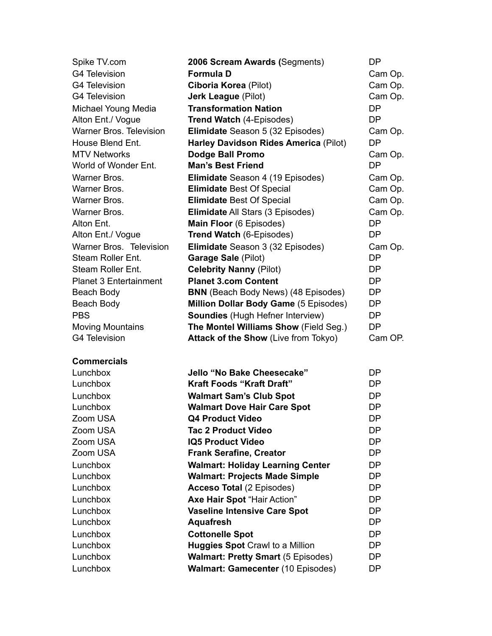| Spike TV.com                   | 2006 Scream Awards (Segments)                | DP        |
|--------------------------------|----------------------------------------------|-----------|
| <b>G4 Television</b>           | <b>Formula D</b>                             | Cam Op.   |
| <b>G4 Television</b>           | Ciboria Korea (Pilot)                        | Cam Op.   |
| <b>G4 Television</b>           | <b>Jerk League (Pilot)</b>                   | Cam Op.   |
| Michael Young Media            | <b>Transformation Nation</b>                 | <b>DP</b> |
| Alton Ent./ Vogue              | <b>Trend Watch (4-Episodes)</b>              | <b>DP</b> |
| <b>Warner Bros. Television</b> | Elimidate Season 5 (32 Episodes)             | Cam Op.   |
| House Blend Ent.               | <b>Harley Davidson Rides America (Pilot)</b> | <b>DP</b> |
| <b>MTV Networks</b>            | <b>Dodge Ball Promo</b>                      | Cam Op.   |
| World of Wonder Ent.           | <b>Man's Best Friend</b>                     | <b>DP</b> |
| Warner Bros.                   | Elimidate Season 4 (19 Episodes)             | Cam Op.   |
| Warner Bros.                   | <b>Elimidate Best Of Special</b>             | Cam Op.   |
| Warner Bros.                   | <b>Elimidate Best Of Special</b>             | Cam Op.   |
| Warner Bros.                   | <b>Elimidate All Stars (3 Episodes)</b>      | Cam Op.   |
| Alton Ent.                     | Main Floor (6 Episodes)                      | <b>DP</b> |
| Alton Ent./ Vogue              | <b>Trend Watch (6-Episodes)</b>              | <b>DP</b> |
| Warner Bros. Television        | Elimidate Season 3 (32 Episodes)             | Cam Op.   |
| Steam Roller Ent.              | Garage Sale (Pilot)                          | <b>DP</b> |
| Steam Roller Ent.              | <b>Celebrity Nanny (Pilot)</b>               | <b>DP</b> |
| <b>Planet 3 Entertainment</b>  | <b>Planet 3.com Content</b>                  | <b>DP</b> |
| Beach Body                     | <b>BNN</b> (Beach Body News) (48 Episodes)   | DP        |
| Beach Body                     | Million Dollar Body Game (5 Episodes)        | <b>DP</b> |
| <b>PBS</b>                     | <b>Soundies</b> (Hugh Hefner Interview)      | DP        |
| <b>Moving Mountains</b>        | The Montel Williams Show (Field Seg.)        | <b>DP</b> |
| <b>G4 Television</b>           | Attack of the Show (Live from Tokyo)         | Cam OP.   |
|                                |                                              |           |
| <b>Commercials</b>             |                                              |           |
| Lunchbox                       | Jello "No Bake Cheesecake"                   | DP        |
| Lunchbox                       | <b>Kraft Foods "Kraft Draft"</b>             | DP        |
| Lunchbox                       | <b>Walmart Sam's Club Spot</b>               | <b>DP</b> |
| Lunchbox                       | <b>Walmart Dove Hair Care Spot</b>           | <b>DP</b> |
| Zoom USA                       | <b>Q4 Product Video</b>                      | DP        |
| Zoom USA                       | <b>Tac 2 Product Video</b>                   | DP        |
| Zoom USA                       | <b>IQ5 Product Video</b>                     | DP        |
| Zoom USA                       | <b>Frank Serafine, Creator</b>               | DP        |
| Lunchbox                       | <b>Walmart: Holiday Learning Center</b>      | DP        |
| Lunchbox                       | <b>Walmart: Projects Made Simple</b>         | DP        |
| Lunchbox                       | Acceso Total (2 Episodes)                    | <b>DP</b> |
| Lunchbox                       | Axe Hair Spot "Hair Action"                  | DP        |
| Lunchbox                       | <b>Vaseline Intensive Care Spot</b>          | <b>DP</b> |
| Lunchbox                       | <b>Aquafresh</b>                             | <b>DP</b> |
| Lunchbox                       | <b>Cottonelle Spot</b>                       | <b>DP</b> |
| Lunchbox                       | <b>Huggies Spot Crawl to a Million</b>       | <b>DP</b> |
| Lunchbox                       | <b>Walmart: Pretty Smart (5 Episodes)</b>    | DP        |
| Lunchbox                       | Walmart: Gamecenter (10 Episodes)            | <b>DP</b> |